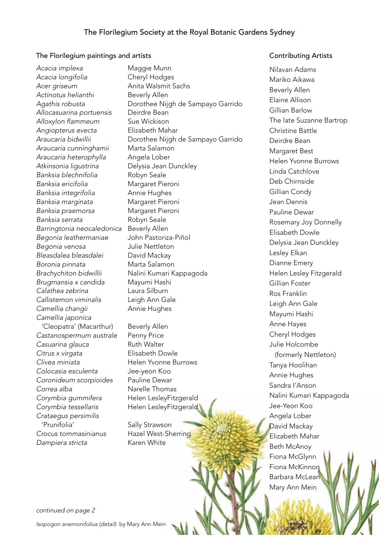## The Florilegium paintings and artists

Acacia implexa **Maggie Munn** *Acacia longifolia* Cheryl Hodges *Acer griseum* Anita Walsmit Sachs *Actinotus helianthi* Beverly Allen *Allocasuarina portuensis* Deirdre Bean Alloxylon flammeum Sue Wickison *Angiopterus evecta* Elizabeth Mahar *Araucaria cunninghamii* Marta Salamon *Araucaria heterophylla* Angela Lober *Atkinsonia ligustrina* Delysia Jean Dunckley *Banksia blechnifolia* Robyn Seale *Banksia ericifolia* Margaret Pieroni *Banksia integrifolia* Annie Hughes *Banksia marginata* Margaret Pieroni *Banksia praemorsa* Margaret Pieroni *Banksia serrata* Robyn Seale *Barringtonia neocaledonica* Beverly Allen *Begonia leathermaniae* John Pastoriza-Piñol *Begonia venosa* Julie Nettleton *Bleasdalea bleasdalei* David Mackay *Boronia pinnata* Marta Salamon *Brugmansia x candida* Mayumi Hashi *Calathea zebrina* Laura Silburn *Callistemon viminalis* Leigh Ann Gale *Camellia changii* Annie Hughes *Camellia japonica*  'Cleopatra' (Macarthur) Beverly Allen *Castanospermum australe* Penny Price Casuarina glauca **Ruth Walter** *Citrus x virgata* Elisabeth Dowle *Clivea miniata* Helen Yvonne Burrows *Colocasia esculenta* Jee-yeon Koo *Coronideum scorpioides* Pauline Dewar *Correa alba* Narelle Thomas *Corymbia gummifera* Helen LesleyFitzgerald *Corymbia tessellaris* Helen LesleyFitzgerald *Crataegus persimilis*  'Prunifolia' Sally Strawson *Crocus tommasinianus* Hazel West-Sherring *Dampiera stricta* Karen White

*Agathis robusta* Dorothee Nijgh de Sampayo Garrido *Araucaria bidwillii* Dorothee Nijgh de Sampayo Garrido *Brachychiton bidwillii* Nalini Kumari Kappagoda

## Contributing Artists

Nilavan Adams Mariko Aikawa Beverly Allen Elaine Allison Gillian Barlow The late Suzanne Bartrop Christine Battle Deirdre Bean Margaret Best Helen Yvonne Burrows Linda Catchlove Deb Chirnside Gillian Condy Jean Dennis Pauline Dewar Rosemary Joy Donnelly Elisabeth Dowle Delysia Jean Dunckley Lesley Elkan Dianne Emery Helen Lesley Fitzgerald Gillian Foster Ros Franklin Leigh Ann Gale Mayumi Hashi Anne Hayes Cheryl Hodges Julie Holcombe (formerly Nettleton) Tanya Hoolihan Annie Hughes Sandra I'Anson Nalini Kumari Kappagoda Jee-Yeon Koo Angela Lober David Mackay Elizabeth Mahar Beth McAnoy Fiona McGlynn Fiona McKinnon Barbara McLean Mary Ann Mein

*continued on page 2*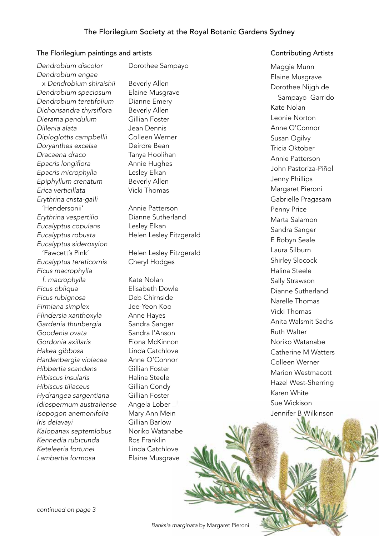## The Florilegium paintings and artists

*Dendrobium discolor* Dorothee Sampayo *Dendrobium engae* x *Dendrobium shiraishii* Beverly Allen *Dendrobium speciosum* Elaine Musgrave *Dendrobium teretifolium* Dianne Emery Dichorisandra thyrsiflora Beverly Allen *Dierama pendulum* Gillian Foster *Dillenia alata* Jean Dennis *Diploglottis campbellii* Colleen Werner *Doryanthes excelsa* Deirdre Bean *Dracaena draco* Tanya Hoolihan Epacris longiflora **Annie Hughes** *Epacris microphylla* Lesley Elkan *Epiphyllum crenatum* Beverly Allen *Erica verticillata* Vicki Thomas *Erythrina crista-galli* 'Hendersonii' Annie Patterson *Erythrina vespertilio* Dianne Sutherland *Eucalyptus copulans* Lesley Elkan *Eucalyptus robusta* Helen Lesley Fitzgerald *Eucalyptus sideroxylon*  'Fawcett's Pink' Helen Lesley Fitzgerald *Eucalyptus tereticornis* Cheryl Hodges *Ficus macrophylla f. macrophylla* Kate Nolan *Ficus obliqua* Elisabeth Dowle *Ficus rubignosa* Deb Chirnside *Firmiana simplex* Jee-Yeon Koo *Flindersia xanthoxyla* Anne Hayes *Gardenia thunbergia* Sandra Sanger *Goodenia ovata* Sandra I'Anson *Gordonia axillaris* Fiona McKinnon *Hakea gibbosa* Linda Catchlove *Hardenbergia violacea* Anne O'Connor *Hibbertia scandens* Gillian Foster *Hibiscus insularis* Halina Steele *Hibiscus tiliaceus* Gillian Condy *Hydrangea sargentiana* Gillian Foster *Idiospermum australiense* Angela Lober *Isopogon anemonifolia* Mary Ann Mein *Iris delavayi* Gillian Barlow *Kalopanax septemlobus* Noriko Watanabe *Kennedia rubicunda* Ros Franklin *Keteleeria fortunei* Linda Catchlove *Lambertia formosa* Elaine Musgrave

## Contributing Artists

Maggie Munn Elaine Musgrave Dorothee Nijgh de Sampayo Garrido Kate Nolan Leonie Norton Anne O'Connor Susan Ogilvy Tricia Oktober Annie Patterson John Pastoriza-Piñol Jenny Phillips Margaret Pieroni Gabrielle Pragasam Penny Price Marta Salamon Sandra Sanger E Robyn Seale Laura Silburn Shirley Slocock Halina Steele Sally Strawson Dianne Sutherland Narelle Thomas Vicki Thomas Anita Walsmit Sachs Ruth Walter Noriko Watanabe Catherine M Watters Colleen Werner Marion Westmacott Hazel West-Sherring Karen White Sue Wickison Jennifer B Wilkinson